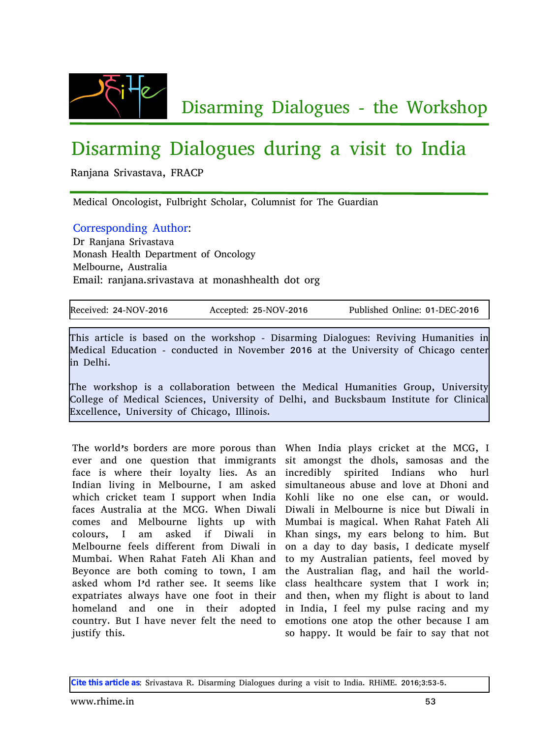

## Disarming Dialogues during a visit to India

Ranjana Srivastava, FRACP

Medical Oncologist, Fulbright Scholar, Columnist for The Guardian

## Corresponding Author:

Dr Ranjana Srivastava Monash Health Department of Oncology Melbourne, Australia Email: ranjana.srivastava at monashhealth dot org

| Received: 24-NOV-2016 | Accepted: 25-NOV-2016 | Published Online: 01-DEC-2016 |
|-----------------------|-----------------------|-------------------------------|
|                       |                       |                               |

This article is based on the workshop - Disarming Dialogues: Reviving Humanities in Medical Education - conducted in November 2016 at the University of Chicago center in Delhi.

The workshop is a collaboration between the Medical Humanities Group, University College of Medical Sciences, University of Delhi, and Bucksbaum Institute for Clinical Excellence, University of Chicago, Illinois.

The world's borders are more porous than When India plays cricket at the MCG, I ever and one question that immigrants sit amongst the dhols, samosas and the face is where their loyalty lies. As an incredibly Indian living in Melbourne, I am asked which cricket team I support when India faces Australia at the MCG. When Diwali comes and Melbourne lights up with colours, I am asked if Diwali in Melbourne feels different from Diwali in Mumbai. When Rahat Fateh Ali Khan and Beyonce are both coming to town, I am asked whom I'd rather see. It seems like expatriates always have one foot in their homeland and one in their adopted in India, I feel my pulse racing and my country. But I have never felt the need to justify this.

spirited Indians who hurl simultaneous abuse and love at Dhoni and Kohli like no one else can, or would. Diwali in Melbourne is nice but Diwali in Mumbai is magical. When Rahat Fateh Ali Khan sings, my ears belong to him. But on a day to day basis, I dedicate myself to my Australian patients, feel moved by the Australian flag, and hail the worldclass healthcare system that I work in; and then, when my flight is about to land emotions one atop the other because I am so happy. It would be fair to say that not

**Cite this article as**: Srivastava R. Disarming Dialogues during a visit to India. RHiME. 2016;3:53-5.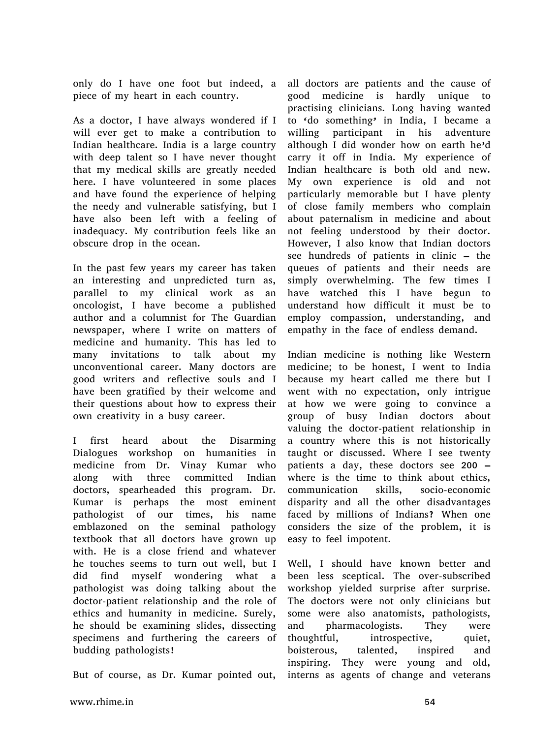only do I have one foot but indeed, a piece of my heart in each country.

As a doctor, I have always wondered if I will ever get to make a contribution to Indian healthcare. India is a large country with deep talent so I have never thought that my medical skills are greatly needed here. I have volunteered in some places and have found the experience of helping the needy and vulnerable satisfying, but I have also been left with a feeling of inadequacy. My contribution feels like an obscure drop in the ocean.

In the past few years my career has taken an interesting and unpredicted turn as, parallel to my clinical work as an oncologist, I have become a published author and a columnist for The Guardian newspaper, where I write on matters of medicine and humanity. This has led to many invitations to talk about my unconventional career. Many doctors are good writers and reflective souls and I have been gratified by their welcome and their questions about how to express their own creativity in a busy career.

I first heard about the Disarming Dialogues workshop on humanities in medicine from Dr. Vinay Kumar who along with three committed Indian doctors, spearheaded this program. Dr. Kumar is perhaps the most eminent pathologist of our times, his name emblazoned on the seminal pathology textbook that all doctors have grown up with. He is a close friend and whatever he touches seems to turn out well, but I did find myself wondering what a pathologist was doing talking about the doctor-patient relationship and the role of ethics and humanity in medicine. Surely, he should be examining slides, dissecting specimens and furthering the careers of budding pathologists!

But of course, as Dr. Kumar pointed out,

all doctors are patients and the cause of good medicine is hardly unique to practising clinicians. Long having wanted to 'do something' in India, I became a willing participant in his adventure although I did wonder how on earth he'd carry it off in India. My experience of Indian healthcare is both old and new. My own experience is old and not particularly memorable but I have plenty of close family members who complain about paternalism in medicine and about not feeling understood by their doctor. However, I also know that Indian doctors see hundreds of patients in clinic – the queues of patients and their needs are simply overwhelming. The few times I have watched this I have begun to understand how difficult it must be to employ compassion, understanding, and empathy in the face of endless demand.

Indian medicine is nothing like Western medicine; to be honest, I went to India because my heart called me there but I went with no expectation, only intrigue at how we were going to convince a group of busy Indian doctors about valuing the doctor-patient relationship in a country where this is not historically taught or discussed. Where I see twenty patients a day, these doctors see 200 – where is the time to think about ethics, communication skills, socio-economic disparity and all the other disadvantages faced by millions of Indians? When one considers the size of the problem, it is easy to feel impotent.

Well, I should have known better and been less sceptical. The over-subscribed workshop yielded surprise after surprise. The doctors were not only clinicians but some were also anatomists, pathologists, and pharmacologists. They were thoughtful, introspective, quiet, boisterous, talented, inspired and inspiring. They were young and old, interns as agents of change and veterans